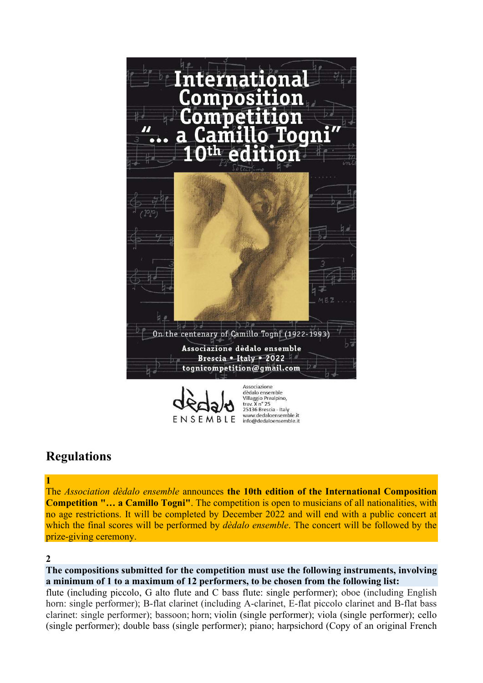

# ENSEMBLE

dèdalo ensemble Villaggio Prealpino tray, X n° 25 25136 Brescia - Italy<br>www.dedaloensemble.it info@dedaloensemble.it

# Regulations

The Association dèdalo ensemble announces the 10th edition of the International Composition Competition "… a Camillo Togni". The competition is open to musicians of all nationalities, with no age restrictions. It will be completed by December 2022 and will end with a public concert at which the final scores will be performed by *dèdalo ensemble*. The concert will be followed by the prize-giving ceremony.

# $\mathfrak{D}$

1

The compositions submitted for the competition must use the following instruments, involving a minimum of 1 to a maximum of 12 performers, to be chosen from the following list:

flute (including piccolo, G alto flute and C bass flute: single performer); oboe (including English horn: single performer); B-flat clarinet (including A-clarinet, E-flat piccolo clarinet and B-flat bass clarinet: single performer); bassoon; horn; violin (single performer); viola (single performer); cello (single performer); double bass (single performer); piano; harpsichord (Copy of an original French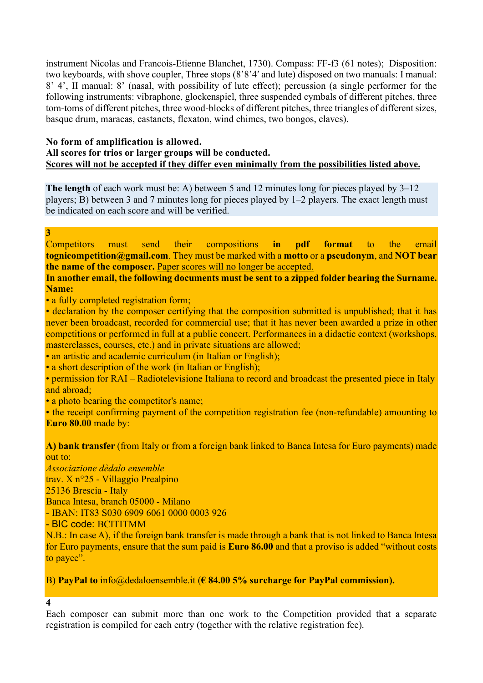instrument Nicolas and Francois-Etienne Blanchet, 1730). Compass: FF-f3 (61 notes); Disposition: two keyboards, with shove coupler, Three stops (8'8'4′ and lute) disposed on two manuals: I manual: 8' 4', II manual: 8' (nasal, with possibility of lute effect); percussion (a single performer for the following instruments: vibraphone, glockenspiel, three suspended cymbals of different pitches, three tom-toms of different pitches, three wood-blocks of different pitches, three triangles of different sizes, basque drum, maracas, castanets, flexaton, wind chimes, two bongos, claves).

#### No form of amplification is allowed.

# All scores for trios or larger groups will be conducted. Scores will not be accepted if they differ even minimally from the possibilities listed above.

The length of each work must be: A) between 5 and 12 minutes long for pieces played by 3–12 players; B) between 3 and 7 minutes long for pieces played by 1–2 players. The exact length must be indicated on each score and will be verified.

#### 3

Competitors must send their compositions in pdf format to the email tognicompetition  $\omega$ gmail.com. They must be marked with a motto or a pseudonym, and NOT bear the name of the composer. Paper scores will no longer be accepted.

#### In another email, the following documents must be sent to a zipped folder bearing the Surname. Name:

• a fully completed registration form;

• declaration by the composer certifying that the composition submitted is unpublished; that it has never been broadcast, recorded for commercial use; that it has never been awarded a prize in other competitions or performed in full at a public concert. Performances in a didactic context (workshops, masterclasses, courses, etc.) and in private situations are allowed;

• an artistic and academic curriculum (in Italian or English);

• a short description of the work (in Italian or English);

• permission for RAI – Radiotelevisione Italiana to record and broadcast the presented piece in Italy and abroad;

• a photo bearing the competitor's name;

• the receipt confirming payment of the competition registration fee (non-refundable) amounting to Euro 80.00 made by:

#### A) bank transfer (from Italy or from a foreign bank linked to Banca Intesa for Euro payments) made out to:

Associazione dèdalo ensemble trav. X n°25 - Villaggio Prealpino 25136 Brescia - Italy Banca Intesa, branch 05000 - Milano - IBAN: IT83 S030 6909 6061 0000 0003 926 - BIC code: BCITITMM

N.B.: In case A), if the foreign bank transfer is made through a bank that is not linked to Banca Intesa for Euro payments, ensure that the sum paid is Euro 86.00 and that a proviso is added "without costs to payee".

#### B) PayPal to info@dedaloensemble.it ( $\epsilon$  84.00 5% surcharge for PayPal commission).

#### 4

Each composer can submit more than one work to the Competition provided that a separate registration is compiled for each entry (together with the relative registration fee).